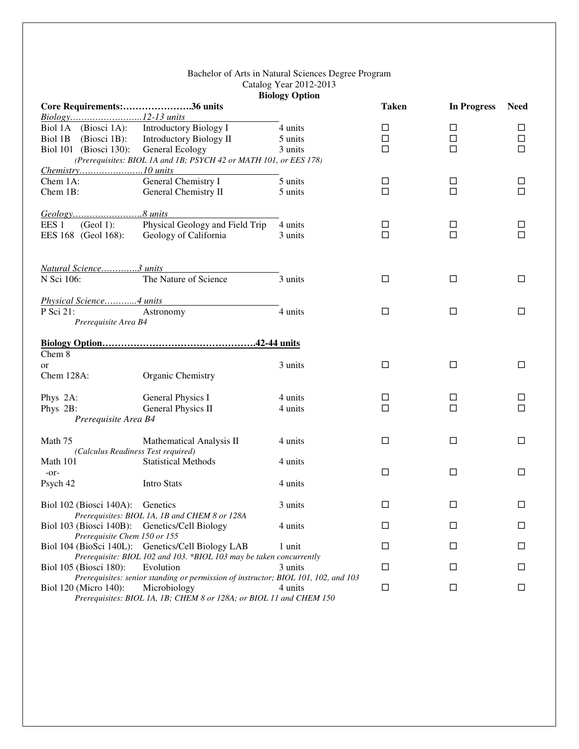## Bachelor of Arts in Natural Sciences Degree Program Catalog Year 2012-2013

| <b>Biology Option</b>                         |                                                                                                                          |         |              |                    |             |  |  |
|-----------------------------------------------|--------------------------------------------------------------------------------------------------------------------------|---------|--------------|--------------------|-------------|--|--|
| Core Requirements:36 units                    |                                                                                                                          |         | <b>Taken</b> | <b>In Progress</b> | <b>Need</b> |  |  |
| $\frac{Biology}{Biology}$ 12-13 units         |                                                                                                                          |         |              |                    |             |  |  |
| Biol 1A (Biosci 1A):                          | <b>Introductory Biology I</b>                                                                                            | 4 units | $\Box$       | ⊔                  | ⊔           |  |  |
| Biol 1B<br>$(Biosci 1B)$ :                    | <b>Introductory Biology II</b>                                                                                           | 5 units | $\Box$       | $\Box$             | П           |  |  |
| Biol 101 (Biosci 130):                        | General Ecology                                                                                                          | 3 units | $\Box$       | $\Box$             | $\Box$      |  |  |
|                                               | (Prerequisites: BIOL 1A and 1B; PSYCH 42 or MATH 101, or EES 178)                                                        |         |              |                    |             |  |  |
|                                               |                                                                                                                          |         |              |                    |             |  |  |
| Chem 1A:                                      | General Chemistry I                                                                                                      | 5 units | □            | □                  | □           |  |  |
| Chem 1B:                                      | General Chemistry II                                                                                                     | 5 units | $\Box$       | $\Box$             | $\Box$      |  |  |
|                                               |                                                                                                                          |         |              |                    |             |  |  |
| EES <sub>1</sub><br>$(Geol 1)$ :              | Physical Geology and Field Trip                                                                                          | 4 units | ப            | ப                  | □           |  |  |
| EES 168 (Geol 168):                           | Geology of California                                                                                                    | 3 units | $\Box$       | $\Box$             | $\Box$      |  |  |
|                                               |                                                                                                                          |         |              |                    |             |  |  |
| Natural Science3 units                        |                                                                                                                          |         |              |                    |             |  |  |
| N Sci 106:                                    | The Nature of Science                                                                                                    | 3 units | $\Box$       | $\Box$             | □           |  |  |
| Physical Science4 units                       |                                                                                                                          |         |              |                    |             |  |  |
| P Sci 21:                                     | Astronomy                                                                                                                | 4 units | □            | □                  | П           |  |  |
| Prerequisite Area B4                          |                                                                                                                          |         |              |                    |             |  |  |
|                                               |                                                                                                                          |         |              |                    |             |  |  |
| Chem 8                                        |                                                                                                                          |         |              |                    |             |  |  |
| or                                            |                                                                                                                          | 3 units | □            | □                  | П           |  |  |
| Chem 128A:                                    | Organic Chemistry                                                                                                        |         |              |                    |             |  |  |
| Phys 2A:                                      | General Physics I                                                                                                        | 4 units | □            | □                  | □           |  |  |
| Phys 2B:                                      | General Physics II                                                                                                       | 4 units | $\Box$       | $\Box$             | $\Box$      |  |  |
| Prerequisite Area B4                          |                                                                                                                          |         |              |                    |             |  |  |
| Math 75                                       | Mathematical Analysis II                                                                                                 | 4 units | $\Box$       | □                  | $\Box$      |  |  |
| (Calculus Readiness Test required)            |                                                                                                                          |         |              |                    |             |  |  |
| Math 101                                      | <b>Statistical Methods</b>                                                                                               | 4 units |              |                    |             |  |  |
| $-0r-$                                        |                                                                                                                          |         | □            | □                  | □           |  |  |
| Psych 42                                      | Intro Stats                                                                                                              | 4 units |              |                    |             |  |  |
| Biol 102 (Biosci 140A): Genetics              |                                                                                                                          | 3 units | □            | □                  | □           |  |  |
|                                               | Prerequisites: BIOL 1A, 1B and CHEM 8 or 128A                                                                            |         |              |                    |             |  |  |
| Biol 103 (Biosci 140B): Genetics/Cell Biology |                                                                                                                          | 4 units | □            | □                  | □           |  |  |
| Prerequisite Chem 150 or 155                  |                                                                                                                          |         |              |                    |             |  |  |
|                                               | Biol 104 (BioSci 140L): Genetics/Cell Biology LAB<br>Prerequisite: BIOL 102 and 103. *BIOL 103 may be taken concurrently | 1 unit  | ⊔            | ⊔                  | ⊔           |  |  |
| Biol 105 (Biosci 180):                        | Evolution                                                                                                                | 3 units | □            | ⊔                  | □           |  |  |
|                                               | Prerequisites: senior standing or permission of instructor; BIOL 101, 102, and 103                                       |         |              |                    |             |  |  |
| Biol 120 (Micro 140):                         | Microbiology                                                                                                             | 4 units | $\Box$       | □                  | □           |  |  |
|                                               | Prerequisites: BIOL 1A, 1B; CHEM 8 or 128A; or BIOL 11 and CHEM 150                                                      |         |              |                    |             |  |  |
|                                               |                                                                                                                          |         |              |                    |             |  |  |